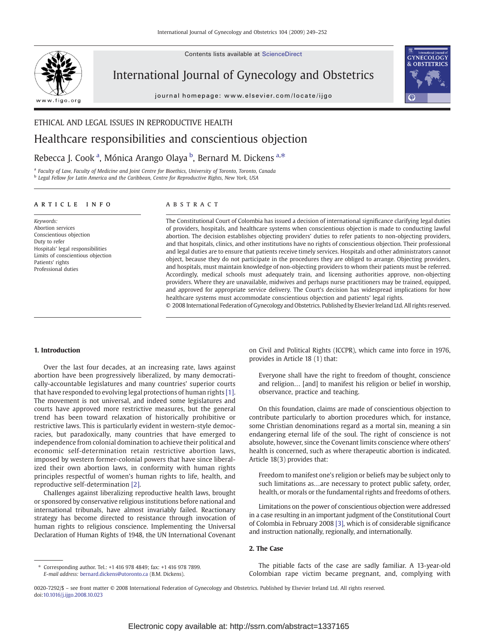Contents lists available at ScienceDirect



International Journal of Gynecology and Obstetrics

journal homepage: www.elsevier.com/locate/ijgo



# ETHICAL AND LEGAL ISSUES IN REPRODUCTIVE HEALTH Healthcare responsibilities and conscientious objection

## Rebecca J. Cook<sup>a</sup>, Mónica Arango Olaya <sup>b</sup>, Bernard M. Dickens <sup>a,\*</sup>

<sup>a</sup> Faculty of Law, Faculty of Medicine and Joint Centre for Bioethics, University of Toronto, Toronto, Canada <sup>b</sup> Legal Fellow for Latin America and the Caribbean, Centre for Reproductive Rights, New York, USA

#### article info abstract

Keywords: Abortion services Conscientious objection Duty to refer Hospitals' legal responsibilities Limits of conscientious objection Patients' rights Professional duties

The Constitutional Court of Colombia has issued a decision of international significance clarifying legal duties of providers, hospitals, and healthcare systems when conscientious objection is made to conducting lawful abortion. The decision establishes objecting providers' duties to refer patients to non-objecting providers, and that hospitals, clinics, and other institutions have no rights of conscientious objection. Their professional and legal duties are to ensure that patients receive timely services. Hospitals and other administrators cannot object, because they do not participate in the procedures they are obliged to arrange. Objecting providers, and hospitals, must maintain knowledge of non-objecting providers to whom their patients must be referred. Accordingly, medical schools must adequately train, and licensing authorities approve, non-objecting providers. Where they are unavailable, midwives and perhaps nurse practitioners may be trained, equipped, and approved for appropriate service delivery. The Court's decision has widespread implications for how healthcare systems must accommodate conscientious objection and patients' legal rights.

© 2008 International Federation of Gynecology and Obstetrics. Published by Elsevier Ireland Ltd. All rights reserved.

#### 1. Introduction

Over the last four decades, at an increasing rate, laws against abortion have been progressively liberalized, by many democratically-accountable legislatures and many countries' superior courts that have responded to evolving legal protections of human rights [\[1\].](#page-3-0) The movement is not universal, and indeed some legislatures and courts have approved more restrictive measures, but the general trend has been toward relaxation of historically prohibitive or restrictive laws. This is particularly evident in western-style democracies, but paradoxically, many countries that have emerged to independence from colonial domination to achieve their political and economic self-determination retain restrictive abortion laws, imposed by western former-colonial powers that have since liberalized their own abortion laws, in conformity with human rights principles respectful of women's human rights to life, health, and reproductive self-determination [\[2\].](#page-3-0)

Challenges against liberalizing reproductive health laws, brought or sponsored by conservative religious institutions before national and international tribunals, have almost invariably failed. Reactionary strategy has become directed to resistance through invocation of human rights to religious conscience. Implementing the Universal Declaration of Human Rights of 1948, the UN International Covenant on Civil and Political Rights (ICCPR), which came into force in 1976, provides in Article 18 (1) that:

Everyone shall have the right to freedom of thought, conscience and religion… [and] to manifest his religion or belief in worship, observance, practice and teaching.

On this foundation, claims are made of conscientious objection to contribute particularly to abortion procedures which, for instance, some Christian denominations regard as a mortal sin, meaning a sin endangering eternal life of the soul. The right of conscience is not absolute, however, since the Covenant limits conscience where others' health is concerned, such as where therapeutic abortion is indicated. Article 18(3) provides that:

Freedom to manifest one's religion or beliefs may be subject only to such limitations as…are necessary to protect public safety, order, health, or morals or the fundamental rights and freedoms of others.

Limitations on the power of conscientious objection were addressed in a case resulting in an important judgment of the Constitutional Court of Colombia in February 2008 [\[3\]](#page-3-0), which is of considerable significance and instruction nationally, regionally, and internationally.

### 2. The Case

The pitiable facts of the case are sadly familiar. A 13-year-old Colombian rape victim became pregnant, and, complying with

<sup>⁎</sup> Corresponding author. Tel.: +1 416 978 4849; fax: +1 416 978 7899. E-mail address: [bernard.dickens@utoronto.ca](mailto:bernard.dickens@utoronto.ca) (B.M. Dickens).

<sup>0020-7292/\$</sup> – see front matter © 2008 International Federation of Gynecology and Obstetrics. Published by Elsevier Ireland Ltd. All rights reserved. doi:[10.1016/j.ijgo.2008.10.023](http://dx.doi.org/10.1016/j.ijgo.2008.10.023)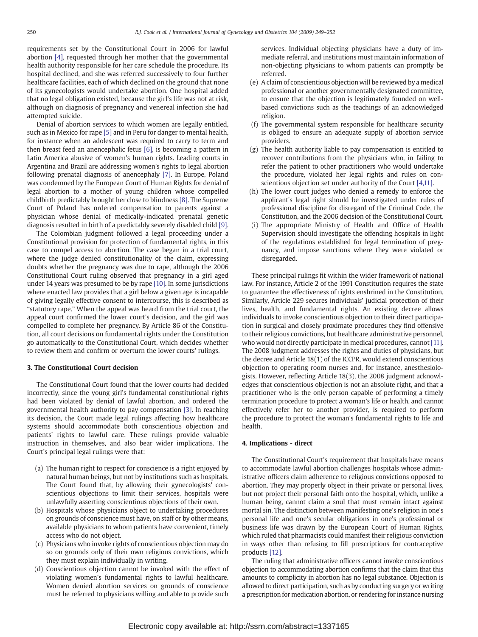requirements set by the Constitutional Court in 2006 for lawful abortion [\[4\],](#page-3-0) requested through her mother that the governmental health authority responsible for her care schedule the procedure. Its hospital declined, and she was referred successively to four further healthcare facilities, each of which declined on the ground that none of its gynecologists would undertake abortion. One hospital added that no legal obligation existed, because the girl's life was not at risk, although on diagnosis of pregnancy and venereal infection she had attempted suicide.

Denial of abortion services to which women are legally entitled, such as in Mexico for rape [\[5\]](#page-3-0) and in Peru for danger to mental health, for instance when an adolescent was required to carry to term and then breast feed an anencephalic fetus [\[6\],](#page-3-0) is becoming a pattern in Latin America abusive of women's human rights. Leading courts in Argentina and Brazil are addressing women's rights to legal abortion following prenatal diagnosis of anencephaly [\[7\].](#page-3-0) In Europe, Poland was condemned by the European Court of Human Rights for denial of legal abortion to a mother of young children whose compelled childbirth predictably brought her close to blindness [\[8\].](#page-3-0) The Supreme Court of Poland has ordered compensation to parents against a physician whose denial of medically-indicated prenatal genetic diagnosis resulted in birth of a predictably severely disabled child [\[9\].](#page-3-0)

The Colombian judgment followed a legal proceeding under a Constitutional provision for protection of fundamental rights, in this case to compel access to abortion. The case began in a trial court, where the judge denied constitutionality of the claim, expressing doubts whether the pregnancy was due to rape, although the 2006 Constitutional Court ruling observed that pregnancy in a girl aged under 14 years was presumed to be by rape [\[10\].](#page-3-0) In some jurisdictions where enacted law provides that a girl below a given age is incapable of giving legally effective consent to intercourse, this is described as "statutory rape." When the appeal was heard from the trial court, the appeal court confirmed the lower court's decision, and the girl was compelled to complete her pregnancy. By Article 86 of the Constitution, all court decisions on fundamental rights under the Constitution go automatically to the Constitutional Court, which decides whether to review them and confirm or overturn the lower courts' rulings.

#### 3. The Constitutional Court decision

The Constitutional Court found that the lower courts had decided incorrectly, since the young girl's fundamental constitutional rights had been violated by denial of lawful abortion, and ordered the governmental health authority to pay compensation [\[3\].](#page-3-0) In reaching its decision, the Court made legal rulings affecting how healthcare systems should accommodate both conscientious objection and patients' rights to lawful care. These rulings provide valuable instruction in themselves, and also bear wider implications. The Court's principal legal rulings were that:

- (a) The human right to respect for conscience is a right enjoyed by natural human beings, but not by institutions such as hospitals. The Court found that, by allowing their gynecologists' conscientious objections to limit their services, hospitals were unlawfully asserting conscientious objections of their own.
- (b) Hospitals whose physicians object to undertaking procedures on grounds of conscience must have, on staff or by other means, available physicians to whom patients have convenient, timely access who do not object.
- (c) Physicians who invoke rights of conscientious objection may do so on grounds only of their own religious convictions, which they must explain individually in writing.
- (d) Conscientious objection cannot be invoked with the effect of violating women's fundamental rights to lawful healthcare. Women denied abortion services on grounds of conscience must be referred to physicians willing and able to provide such

services. Individual objecting physicians have a duty of immediate referral, and institutions must maintain information of non-objecting physicians to whom patients can promptly be referred.

- (e) A claim of conscientious objection will be reviewed by a medical professional or another governmentally designated committee, to ensure that the objection is legitimately founded on wellbased convictions such as the teachings of an acknowledged religion.
- (f) The governmental system responsible for healthcare security is obliged to ensure an adequate supply of abortion service providers.
- (g) The health authority liable to pay compensation is entitled to recover contributions from the physicians who, in failing to refer the patient to other practitioners who would undertake the procedure, violated her legal rights and rules on conscientious objection set under authority of the Court [\[4,11\]](#page-3-0).
- (h) The lower court judges who denied a remedy to enforce the applicant's legal right should be investigated under rules of professional discipline for disregard of the Criminal Code, the Constitution, and the 2006 decision of the Constitutional Court.
- (i) The appropriate Ministry of Health and Office of Health Supervision should investigate the offending hospitals in light of the regulations established for legal termination of pregnancy, and impose sanctions where they were violated or disregarded.

These principal rulings fit within the wider framework of national law. For instance, Article 2 of the 1991 Constitution requires the state to guarantee the effectiveness of rights enshrined in the Constitution. Similarly, Article 229 secures individuals' judicial protection of their lives, health, and fundamental rights. An existing decree allows individuals to invoke conscientious objection to their direct participation in surgical and closely proximate procedures they find offensive to their religious convictions, but healthcare administrative personnel, who would not directly participate in medical procedures, cannot [\[11\].](#page-3-0) The 2008 judgment addresses the rights and duties of physicians, but the decree and Article 18(1) of the ICCPR, would extend conscientious objection to operating room nurses and, for instance, anesthesiologists. However, reflecting Article 18(3), the 2008 judgment acknowledges that conscientious objection is not an absolute right, and that a practitioner who is the only person capable of performing a timely termination procedure to protect a woman's life or health, and cannot effectively refer her to another provider, is required to perform the procedure to protect the woman's fundamental rights to life and health.

#### 4. Implications - direct

The Constitutional Court's requirement that hospitals have means to accommodate lawful abortion challenges hospitals whose administrative officers claim adherence to religious convictions opposed to abortion. They may properly object in their private or personal lives, but not project their personal faith onto the hospital, which, unlike a human being, cannot claim a soul that must remain intact against mortal sin. The distinction between manifesting one's religion in one's personal life and one's secular obligations in one's professional or business life was drawn by the European Court of Human Rights, which ruled that pharmacists could manifest their religious conviction in ways other than refusing to fill prescriptions for contraceptive products [\[12\]](#page-3-0).

The ruling that administrative officers cannot invoke conscientious objection to accommodating abortion confirms that the claim that this amounts to complicity in abortion has no legal substance. Objection is allowed to direct participation, such as by conducting surgery or writing a prescription for medication abortion, or rendering for instance nursing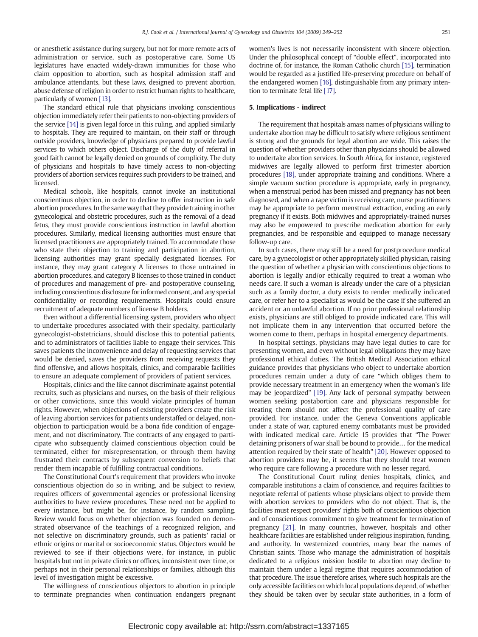or anesthetic assistance during surgery, but not for more remote acts of administration or service, such as postoperative care. Some US legislatures have enacted widely-drawn immunities for those who claim opposition to abortion, such as hospital admission staff and ambulance attendants, but these laws, designed to prevent abortion, abuse defense of religion in order to restrict human rights to healthcare, particularly of women [\[13\]](#page-3-0).

The standard ethical rule that physicians invoking conscientious objection immediately refer their patients to non-objecting providers of the service [\[14\]](#page-3-0) is given legal force in this ruling, and applied similarly to hospitals. They are required to maintain, on their staff or through outside providers, knowledge of physicians prepared to provide lawful services to which others object. Discharge of the duty of referral in good faith cannot be legally denied on grounds of complicity. The duty of physicians and hospitals to have timely access to non-objecting providers of abortion services requires such providers to be trained, and licensed.

Medical schools, like hospitals, cannot invoke an institutional conscientious objection, in order to decline to offer instruction in safe abortion procedures. In the same way that they provide training in other gynecological and obstetric procedures, such as the removal of a dead fetus, they must provide conscientious instruction in lawful abortion procedures. Similarly, medical licensing authorities must ensure that licensed practitioners are appropriately trained. To accommodate those who state their objection to training and participation in abortion, licensing authorities may grant specially designated licenses. For instance, they may grant category A licenses to those untrained in abortion procedures, and category B licenses to those trained in conduct of procedures and management of pre- and postoperative counseling, including conscientious disclosure for informed consent, and any special confidentiality or recording requirements. Hospitals could ensure recruitment of adequate numbers of license B holders.

Even without a differential licensing system, providers who object to undertake procedures associated with their specialty, particularly gynecologist-obstetricians, should disclose this to potential patients, and to administrators of facilities liable to engage their services. This saves patients the inconvenience and delay of requesting services that would be denied, saves the providers from receiving requests they find offensive, and allows hospitals, clinics, and comparable facilities to ensure an adequate complement of providers of patient services.

Hospitals, clinics and the like cannot discriminate against potential recruits, such as physicians and nurses, on the basis of their religious or other convictions, since this would violate principles of human rights. However, when objections of existing providers create the risk of leaving abortion services for patients understaffed or delayed, nonobjection to participation would be a bona fide condition of engagement, and not discriminatory. The contracts of any engaged to participate who subsequently claimed conscientious objection could be terminated, either for misrepresentation, or through them having frustrated their contracts by subsequent conversion to beliefs that render them incapable of fulfilling contractual conditions.

The Constitutional Court's requirement that providers who invoke conscientious objection do so in writing, and be subject to review, requires officers of governmental agencies or professional licensing authorities to have review procedures. These need not be applied to every instance, but might be, for instance, by random sampling. Review would focus on whether objection was founded on demonstrated observance of the teachings of a recognized religion, and not selective on discriminatory grounds, such as patients' racial or ethnic origins or marital or socioeconomic status. Objectors would be reviewed to see if their objections were, for instance, in public hospitals but not in private clinics or offices, inconsistent over time, or perhaps not in their personal relationships or families, although this level of investigation might be excessive.

The willingness of conscientious objectors to abortion in principle to terminate pregnancies when continuation endangers pregnant women's lives is not necessarily inconsistent with sincere objection. Under the philosophical concept of "double effect", incorporated into doctrine of, for instance, the Roman Catholic church [\[15\],](#page-3-0) termination would be regarded as a justified life-preserving procedure on behalf of the endangered women [\[16\],](#page-3-0) distinguishable from any primary intention to terminate fetal life [\[17\]](#page-3-0).

#### 5. Implications - indirect

The requirement that hospitals amass names of physicians willing to undertake abortion may be difficult to satisfy where religious sentiment is strong and the grounds for legal abortion are wide. This raises the question of whether providers other than physicians should be allowed to undertake abortion services. In South Africa, for instance, registered midwives are legally allowed to perform first trimester abortion procedures [\[18\],](#page-3-0) under appropriate training and conditions. Where a simple vacuum suction procedure is appropriate, early in pregnancy, when a menstrual period has been missed and pregnancy has not been diagnosed, and when a rape victim is receiving care, nurse practitioners may be appropriate to perform menstrual extraction, ending an early pregnancy if it exists. Both midwives and appropriately-trained nurses may also be empowered to prescribe medication abortion for early pregnancies, and be responsible and equipped to manage necessary follow-up care.

In such cases, there may still be a need for postprocedure medical care, by a gynecologist or other appropriately skilled physician, raising the question of whether a physician with conscientious objections to abortion is legally and/or ethically required to treat a woman who needs care. If such a woman is already under the care of a physician such as a family doctor, a duty exists to render medically indicated care, or refer her to a specialist as would be the case if she suffered an accident or an unlawful abortion. If no prior professional relationship exists, physicians are still obliged to provide indicated care. This will not implicate them in any intervention that occurred before the women come to them, perhaps in hospital emergency departments.

In hospital settings, physicians may have legal duties to care for presenting women, and even without legal obligations they may have professional ethical duties. The British Medical Association ethical guidance provides that physicians who object to undertake abortion procedures remain under a duty of care "which obliges them to provide necessary treatment in an emergency when the woman's life may be jeopardized" [\[19\]](#page-3-0). Any lack of personal sympathy between women seeking postabortion care and physicians responsible for treating them should not affect the professional quality of care provided. For instance, under the Geneva Conventions applicable under a state of war, captured enemy combatants must be provided with indicated medical care. Article 15 provides that "The Power detaining prisoners of war shall be bound to provide… for the medical attention required by their state of health" [\[20\]](#page-3-0). However opposed to abortion providers may be, it seems that they should treat women who require care following a procedure with no lesser regard.

The Constitutional Court ruling denies hospitals, clinics, and comparable institutions a claim of conscience, and requires facilities to negotiate referral of patients whose physicians object to provide them with abortion services to providers who do not object. That is, the facilities must respect providers' rights both of conscientious objection and of conscientious commitment to give treatment for termination of pregnancy [\[21\].](#page-3-0) In many countries, however, hospitals and other healthcare facilities are established under religious inspiration, funding, and authority. In westernized countries, many bear the names of Christian saints. Those who manage the administration of hospitals dedicated to a religious mission hostile to abortion may decline to maintain them under a legal regime that requires accommodation of that procedure. The issue therefore arises, where such hospitals are the only accessible facilities on which local populations depend, of whether they should be taken over by secular state authorities, in a form of